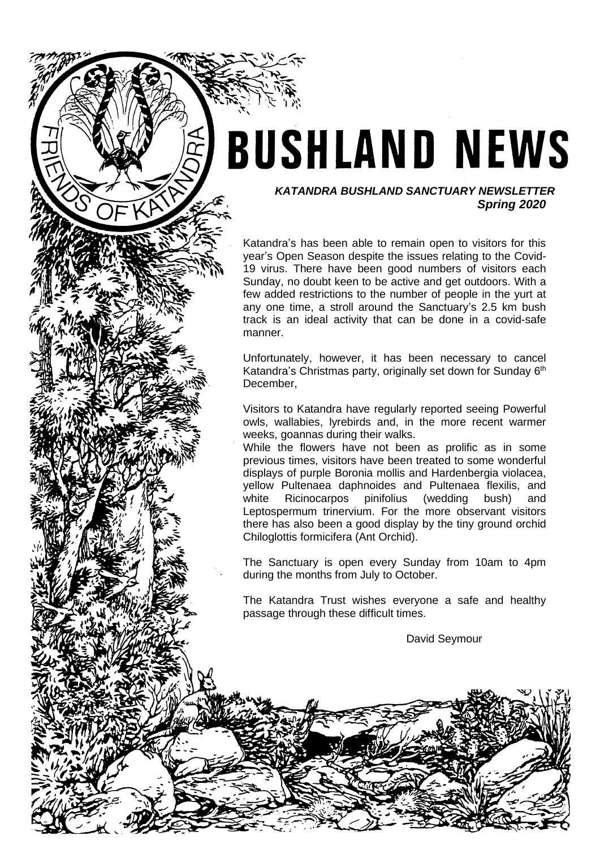# **BUSHLAND NEWS**

### *KATANDRA BUSHLAND SANCTUARY NEWSLETTER Spring 2020*

Katandra's has been able to remain open to visitors for this year's Open Season despite the issues relating to the Covid-19 virus. There have been good numbers of visitors each Sunday, no doubt keen to be active and get outdoors. With a few added restrictions to the number of people in the yurt at any one time, a stroll around the Sanctuary's 2.5 km bush track is an ideal activity that can be done in a covid-safe manner.

Unfortunately, however, it has been necessary to cancel Katandra's Christmas party, originally set down for Sunday 6<sup>th</sup> December,

Visitors to Katandra have regularly reported seeing Powerful owls, wallabies, lyrebirds and, in the more recent warmer weeks, goannas during their walks.

While the flowers have not been as prolific as in some previous times, visitors have been treated to some wonderful displays of purple Boronia mollis and Hardenbergia violacea, yellow Pultenaea daphnoides and Pultenaea flexilis, and white Ricinocarpos pinifolius (wedding bush) and Leptospermum trinervium. For the more observant visitors there has also been a good display by the tiny ground orchid Chiloglottis formicifera (Ant Orchid).

The Sanctuary is open every Sunday from 10am to 4pm during the months from July to October.

The Katandra Trust wishes everyone a safe and healthy passage through these difficult times.

David Seymour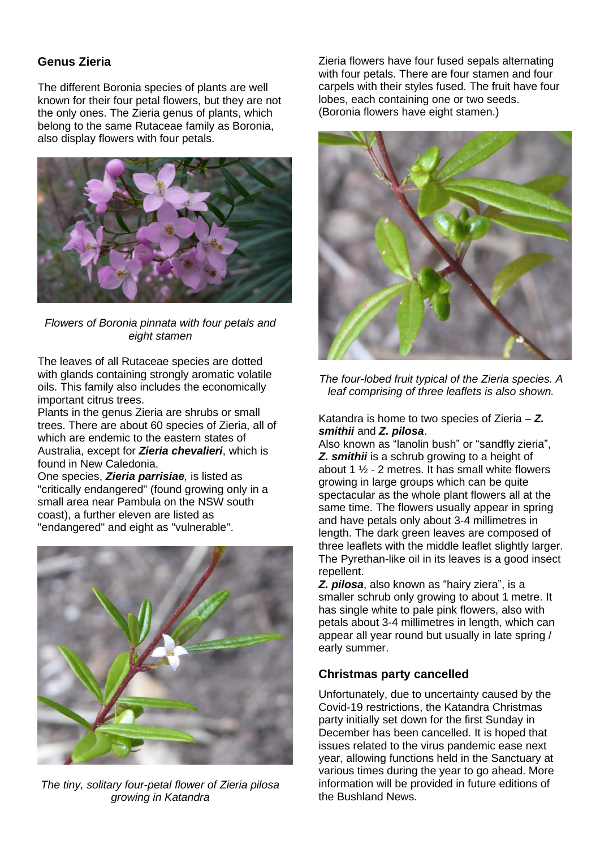## **Genus Zieria**

The different Boronia species of plants are well known for their four petal flowers, but they are not the only ones. The Zieria genus of plants, which belong to the same Rutaceae family as Boronia, also display flowers with four petals.



*Flowers of Boronia pinnata with four petals and eight stamen*

The leaves of all Rutaceae species are dotted with glands containing strongly aromatic volatile oils. This family also includes the economically important citrus trees.

Plants in the genus Zieria are shrubs or small trees. There are about 60 species of Zieria, all of which are endemic to the eastern states of Australia, except for *Zieria chevalieri*, which is found in New Caledonia.

One species, *Zieria parrisiae,* is listed as "critically endangered" (found growing only in a small area near Pambula on the NSW south coast), a further eleven are listed as "endangered" and eight as "vulnerable".



*The tiny, solitary four-petal flower of Zieria pilosa growing in Katandra*

Zieria flowers have four fused sepals alternating with four petals. There are four stamen and four carpels with their styles fused. The fruit have four lobes, each containing one or two seeds. (Boronia flowers have eight stamen.)



*The four-lobed fruit typical of the Zieria species. A leaf comprising of three leaflets is also shown.*

Katandra is home to two species of Zieria – *Z. smithii* and *Z. pilosa*.

Also known as "lanolin bush" or "sandfly zieria", *Z. smithii* is a schrub growing to a height of about 1  $\frac{1}{2}$  - 2 metres. It has small white flowers growing in large groups which can be quite spectacular as the whole plant flowers all at the same time. The flowers usually appear in spring and have petals only about 3-4 millimetres in length. The dark green leaves are composed of three leaflets with the middle leaflet slightly larger. The Pyrethan-like oil in its leaves is a good insect repellent.

*Z. pilosa*, also known as "hairy ziera", is a smaller schrub only growing to about 1 metre. It has single white to pale pink flowers, also with petals about 3-4 millimetres in length, which can appear all year round but usually in late spring / early summer.

## **Christmas party cancelled**

Unfortunately, due to uncertainty caused by the Covid-19 restrictions, the Katandra Christmas party initially set down for the first Sunday in December has been cancelled. It is hoped that issues related to the virus pandemic ease next year, allowing functions held in the Sanctuary at various times during the year to go ahead. More information will be provided in future editions of the Bushland News.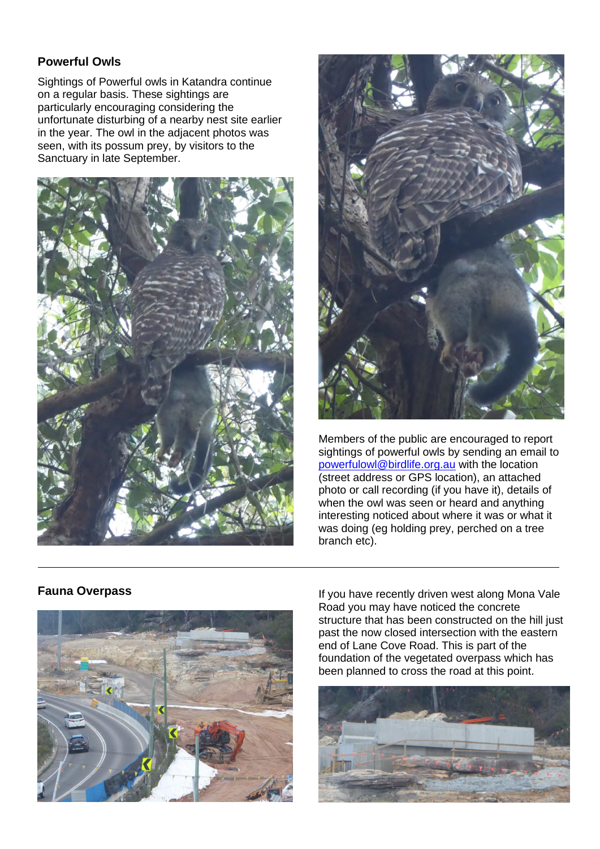## **Powerful Owls**

Sightings of Powerful owls in Katandra continue on a regular basis. These sightings are particularly encouraging considering the unfortunate disturbing of a nearby nest site earlier in the year. The owl in the adjacent photos was seen, with its possum prey, by visitors to the Sanctuary in late September.





Members of the public are encouraged to report sightings of powerful owls by sending an email to [powerfulowl@birdlife.org.au](mailto:powerfulowl@birdlife.org.au) with the location (street address or GPS location), an attached photo or call recording (if you have it), details of when the owl was seen or heard and anything interesting noticed about where it was or what it was doing (eg holding prey, perched on a tree branch etc).

## **Fauna Overpass**



If you have recently driven west along Mona Vale Road you may have noticed the concrete structure that has been constructed on the hill just past the now closed intersection with the eastern end of Lane Cove Road. This is part of the foundation of the vegetated overpass which has been planned to cross the road at this point.